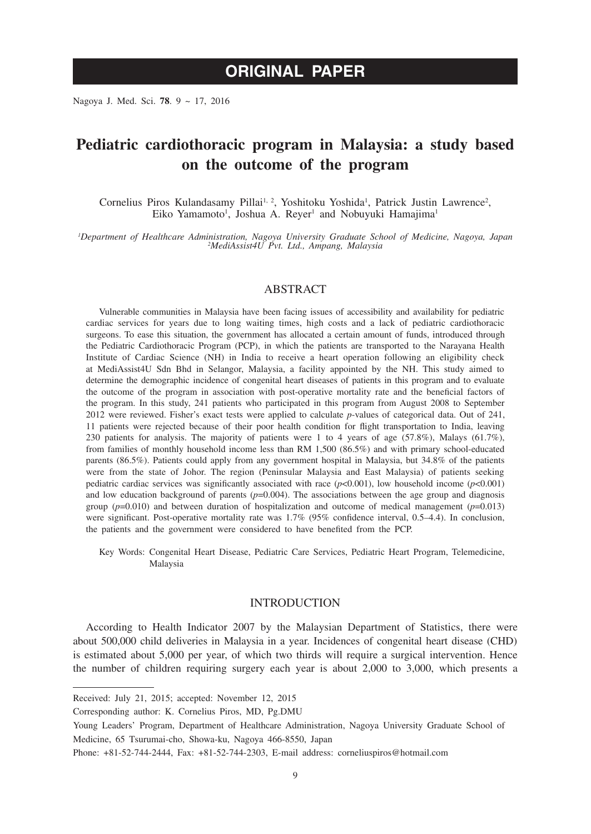# **ORIGINAL PAPER**

Nagoya J. Med. Sci. **78**. 9 ~ 17, 2016

# **Pediatric cardiothoracic program in Malaysia: a study based on the outcome of the program**

Cornelius Piros Kulandasamy Pillai<sup>1, 2</sup>, Yoshitoku Yoshida<sup>1</sup>, Patrick Justin Lawrence<sup>2</sup>, Eiko Yamamoto<sup>1</sup>, Joshua A. Reyer<sup>1</sup> and Nobuyuki Hamajima<sup>1</sup>

*1 Department of Healthcare Administration, Nagoya University Graduate School of Medicine, Nagoya, Japan <sup>2</sup> MediAssist4U Pvt. Ltd., Ampang, Malaysia*

#### ABSTRACT

Vulnerable communities in Malaysia have been facing issues of accessibility and availability for pediatric cardiac services for years due to long waiting times, high costs and a lack of pediatric cardiothoracic surgeons. To ease this situation, the government has allocated a certain amount of funds, introduced through the Pediatric Cardiothoracic Program (PCP), in which the patients are transported to the Narayana Health Institute of Cardiac Science (NH) in India to receive a heart operation following an eligibility check at MediAssist4U Sdn Bhd in Selangor, Malaysia, a facility appointed by the NH. This study aimed to determine the demographic incidence of congenital heart diseases of patients in this program and to evaluate the outcome of the program in association with post-operative mortality rate and the beneficial factors of the program. In this study, 241 patients who participated in this program from August 2008 to September 2012 were reviewed. Fisher's exact tests were applied to calculate *p*-values of categorical data. Out of 241, 11 patients were rejected because of their poor health condition for flight transportation to India, leaving 230 patients for analysis. The majority of patients were 1 to 4 years of age (57.8%), Malays (61.7%), from families of monthly household income less than RM 1,500 (86.5%) and with primary school-educated parents (86.5%). Patients could apply from any government hospital in Malaysia, but 34.8% of the patients were from the state of Johor. The region (Peninsular Malaysia and East Malaysia) of patients seeking pediatric cardiac services was significantly associated with race (*p*<0.001), low household income (*p*<0.001) and low education background of parents  $(p=0.004)$ . The associations between the age group and diagnosis group (*p*=0.010) and between duration of hospitalization and outcome of medical management (*p*=0.013) were significant. Post-operative mortality rate was 1.7% (95% confidence interval, 0.5–4.4). In conclusion, the patients and the government were considered to have benefited from the PCP.

Key Words: Congenital Heart Disease, Pediatric Care Services, Pediatric Heart Program, Telemedicine, Malaysia

### INTRODUCTION

According to Health Indicator 2007 by the Malaysian Department of Statistics, there were about 500,000 child deliveries in Malaysia in a year. Incidences of congenital heart disease (CHD) is estimated about 5,000 per year, of which two thirds will require a surgical intervention. Hence the number of children requiring surgery each year is about 2,000 to 3,000, which presents a

Received: July 21, 2015; accepted: November 12, 2015

Corresponding author: K. Cornelius Piros, MD, Pg.DMU

Young Leaders' Program, Department of Healthcare Administration, Nagoya University Graduate School of Medicine, 65 Tsurumai-cho, Showa-ku, Nagoya 466-8550, Japan

Phone: +81-52-744-2444, Fax: +81-52-744-2303, E-mail address: corneliuspiros@hotmail.com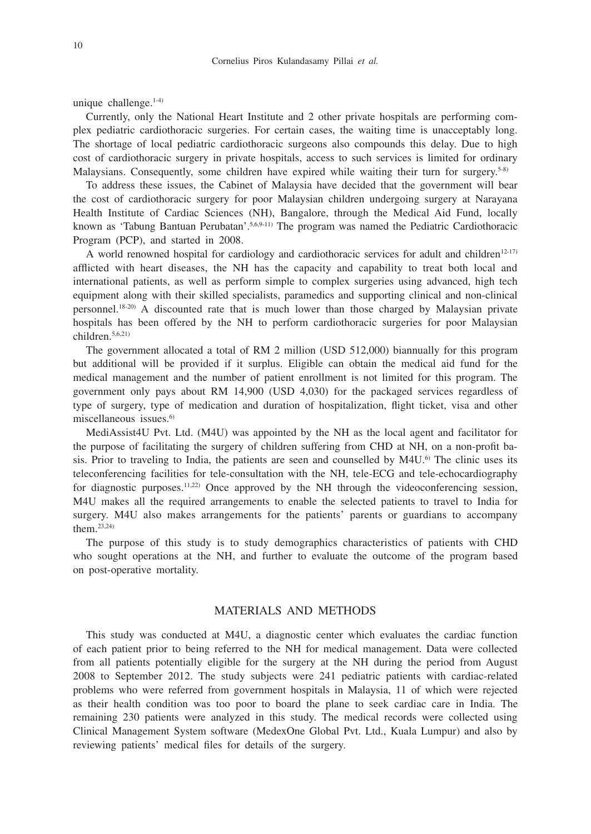unique challenge.1-4)

Currently, only the National Heart Institute and 2 other private hospitals are performing complex pediatric cardiothoracic surgeries. For certain cases, the waiting time is unacceptably long. The shortage of local pediatric cardiothoracic surgeons also compounds this delay. Due to high cost of cardiothoracic surgery in private hospitals, access to such services is limited for ordinary Malaysians. Consequently, some children have expired while waiting their turn for surgery.<sup>5-8)</sup>

To address these issues, the Cabinet of Malaysia have decided that the government will bear the cost of cardiothoracic surgery for poor Malaysian children undergoing surgery at Narayana Health Institute of Cardiac Sciences (NH), Bangalore, through the Medical Aid Fund, locally known as 'Tabung Bantuan Perubatan'.<sup>5,6,9-11)</sup> The program was named the Pediatric Cardiothoracic Program (PCP), and started in 2008.

A world renowned hospital for cardiology and cardiothoracic services for adult and children<sup>12-17)</sup> afflicted with heart diseases, the NH has the capacity and capability to treat both local and international patients, as well as perform simple to complex surgeries using advanced, high tech equipment along with their skilled specialists, paramedics and supporting clinical and non-clinical personnel.18-20) A discounted rate that is much lower than those charged by Malaysian private hospitals has been offered by the NH to perform cardiothoracic surgeries for poor Malaysian children.5,6,21)

The government allocated a total of RM 2 million (USD 512,000) biannually for this program but additional will be provided if it surplus. Eligible can obtain the medical aid fund for the medical management and the number of patient enrollment is not limited for this program. The government only pays about RM 14,900 (USD 4,030) for the packaged services regardless of type of surgery, type of medication and duration of hospitalization, flight ticket, visa and other miscellaneous issues.<sup>6)</sup>

MediAssist4U Pvt. Ltd. (M4U) was appointed by the NH as the local agent and facilitator for the purpose of facilitating the surgery of children suffering from CHD at NH, on a non-profit basis. Prior to traveling to India, the patients are seen and counselled by M4U.6) The clinic uses its teleconferencing facilities for tele-consultation with the NH, tele-ECG and tele-echocardiography for diagnostic purposes.<sup>11,22)</sup> Once approved by the NH through the videoconferencing session, M4U makes all the required arrangements to enable the selected patients to travel to India for surgery. M4U also makes arrangements for the patients' parents or guardians to accompany them.23,24)

The purpose of this study is to study demographics characteristics of patients with CHD who sought operations at the NH, and further to evaluate the outcome of the program based on post-operative mortality.

# MATERIALS AND METHODS

This study was conducted at M4U, a diagnostic center which evaluates the cardiac function of each patient prior to being referred to the NH for medical management. Data were collected from all patients potentially eligible for the surgery at the NH during the period from August 2008 to September 2012. The study subjects were 241 pediatric patients with cardiac-related problems who were referred from government hospitals in Malaysia, 11 of which were rejected as their health condition was too poor to board the plane to seek cardiac care in India. The remaining 230 patients were analyzed in this study. The medical records were collected using Clinical Management System software (MedexOne Global Pvt. Ltd., Kuala Lumpur) and also by reviewing patients' medical files for details of the surgery.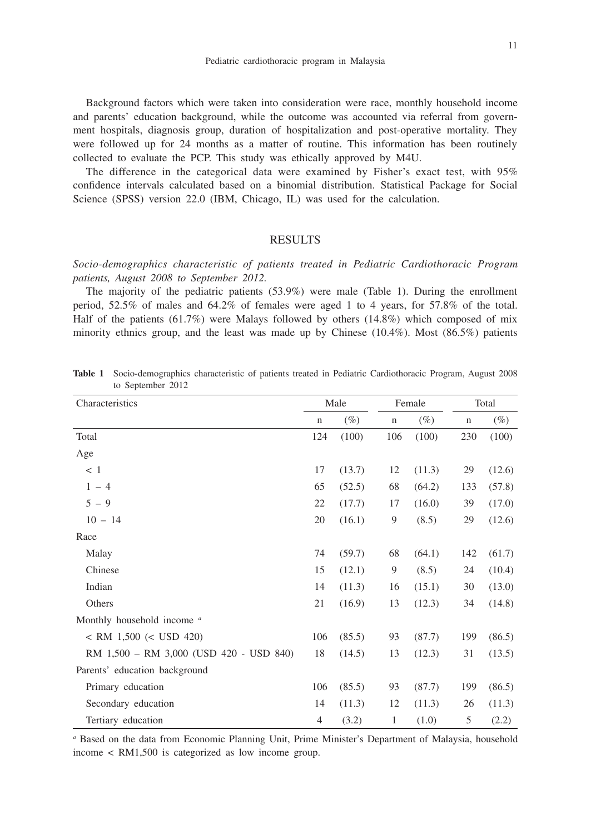Background factors which were taken into consideration were race, monthly household income and parents' education background, while the outcome was accounted via referral from government hospitals, diagnosis group, duration of hospitalization and post-operative mortality. They were followed up for 24 months as a matter of routine. This information has been routinely collected to evaluate the PCP. This study was ethically approved by M4U.

The difference in the categorical data were examined by Fisher's exact test, with 95% confidence intervals calculated based on a binomial distribution. Statistical Package for Social Science (SPSS) version 22.0 (IBM, Chicago, IL) was used for the calculation.

## **RESULTS**

*Socio-demographics characteristic of patients treated in Pediatric Cardiothoracic Program patients, August 2008 to September 2012.*

The majority of the pediatric patients (53.9%) were male (Table 1). During the enrollment period, 52.5% of males and 64.2% of females were aged 1 to 4 years, for 57.8% of the total. Half of the patients (61.7%) were Malays followed by others (14.8%) which composed of mix minority ethnics group, and the least was made up by Chinese  $(10.4\%)$ . Most  $(86.5\%)$  patients

| Characteristics                         | Male           |        | Female       |        | Total       |        |
|-----------------------------------------|----------------|--------|--------------|--------|-------------|--------|
|                                         | $\mathbf n$    | $(\%)$ | $\mathbf n$  | $(\%)$ | $\mathbf n$ | $(\%)$ |
| Total                                   | 124            | (100)  | 106          | (100)  | 230         | (100)  |
| Age                                     |                |        |              |        |             |        |
| < 1                                     | 17             | (13.7) | 12           | (11.3) | 29          | (12.6) |
| $1 - 4$                                 | 65             | (52.5) | 68           | (64.2) | 133         | (57.8) |
| $5 - 9$                                 | 22             | (17.7) | 17           | (16.0) | 39          | (17.0) |
| $10 - 14$                               | 20             | (16.1) | 9            | (8.5)  | 29          | (12.6) |
| Race                                    |                |        |              |        |             |        |
| Malay                                   | 74             | (59.7) | 68           | (64.1) | 142         | (61.7) |
| Chinese                                 | 15             | (12.1) | 9            | (8.5)  | 24          | (10.4) |
| Indian                                  | 14             | (11.3) | 16           | (15.1) | 30          | (13.0) |
| Others                                  | 21             | (16.9) | 13           | (12.3) | 34          | (14.8) |
| Monthly household income <sup>a</sup>   |                |        |              |        |             |        |
| $<$ RM 1,500 $(<$ USD 420)              | 106            | (85.5) | 93           | (87.7) | 199         | (86.5) |
| RM 1,500 - RM 3,000 (USD 420 - USD 840) | 18             | (14.5) | 13           | (12.3) | 31          | (13.5) |
| Parents' education background           |                |        |              |        |             |        |
| Primary education                       | 106            | (85.5) | 93           | (87.7) | 199         | (86.5) |
| Secondary education                     | 14             | (11.3) | 12           | (11.3) | 26          | (11.3) |
| Tertiary education                      | $\overline{4}$ | (3.2)  | $\mathbf{1}$ | (1.0)  | 5           | (2.2)  |

**Table 1** Socio-demographics characteristic of patients treated in Pediatric Cardiothoracic Program, August 2008 to September 2012

*a* Based on the data from Economic Planning Unit, Prime Minister's Department of Malaysia, household income < RM1,500 is categorized as low income group.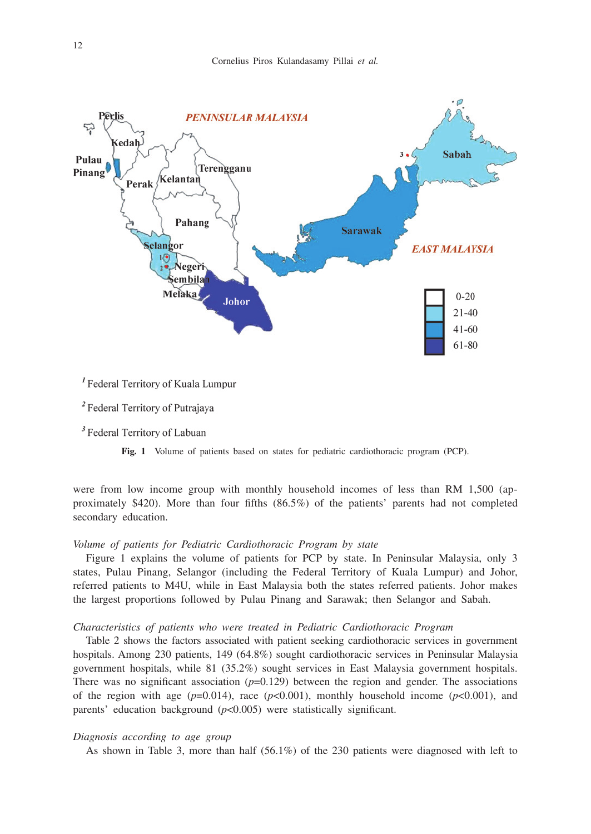

<sup>I</sup> Federal Territory of Kuala Lumpur

<sup>2</sup> Federal Territory of Putrajaya

<sup>3</sup> Federal Territory of Labuan

**Fig. 1** Volume of patients based on states for pediatric cardiothoracic program (PCP).

were from low income group with monthly household incomes of less than RM 1,500 (approximately \$420). More than four fifths (86.5%) of the patients' parents had not completed secondary education.

#### *Volume of patients for Pediatric Cardiothoracic Program by state*

Figure 1 explains the volume of patients for PCP by state. In Peninsular Malaysia, only 3 states, Pulau Pinang, Selangor (including the Federal Territory of Kuala Lumpur) and Johor, referred patients to M4U, while in East Malaysia both the states referred patients. Johor makes the largest proportions followed by Pulau Pinang and Sarawak; then Selangor and Sabah.

### *Characteristics of patients who were treated in Pediatric Cardiothoracic Program*

Table 2 shows the factors associated with patient seeking cardiothoracic services in government hospitals. Among 230 patients, 149 (64.8%) sought cardiothoracic services in Peninsular Malaysia government hospitals, while 81 (35.2%) sought services in East Malaysia government hospitals. There was no significant association  $(p=0.129)$  between the region and gender. The associations of the region with age  $(p=0.014)$ , race  $(p<0.001)$ , monthly household income  $(p<0.001)$ , and parents' education background (*p*<0.005) were statistically significant.

## *Diagnosis according to age group*

As shown in Table 3, more than half (56.1%) of the 230 patients were diagnosed with left to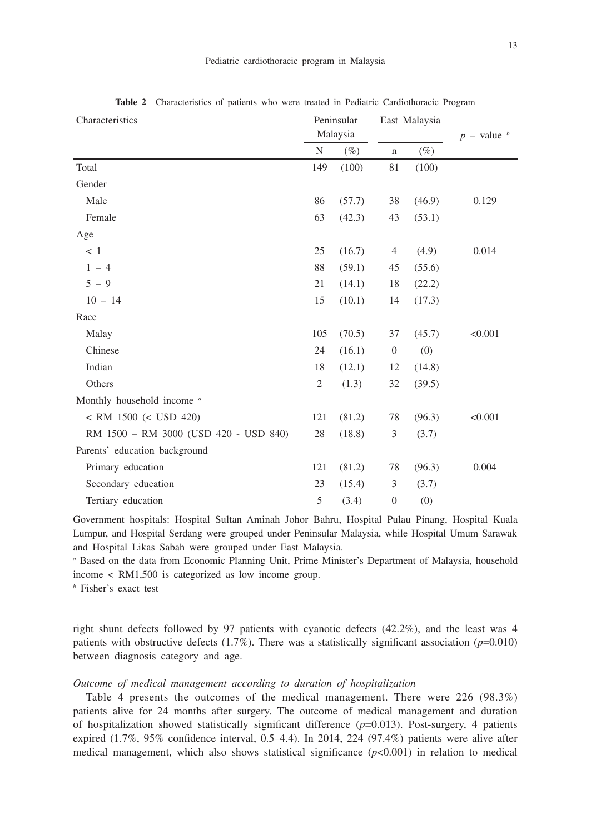| Characteristics                       | Peninsular<br>Malaysia |        | East Malaysia    |        |                 |
|---------------------------------------|------------------------|--------|------------------|--------|-----------------|
|                                       | N                      | $(\%)$ | $\mathbf n$      | $(\%)$ | $p$ – value $b$ |
| Total                                 | 149                    | (100)  | 81               | (100)  |                 |
| Gender                                |                        |        |                  |        |                 |
| Male                                  | 86                     | (57.7) | 38               | (46.9) | 0.129           |
| Female                                | 63                     | (42.3) | 43               | (53.1) |                 |
| Age                                   |                        |        |                  |        |                 |
| < 1                                   | 25                     | (16.7) | 4                | (4.9)  | 0.014           |
| $1 - 4$                               | 88                     | (59.1) | 45               | (55.6) |                 |
| $5 - 9$                               | 21                     | (14.1) | 18               | (22.2) |                 |
| $10 - 14$                             | 15                     | (10.1) | 14               | (17.3) |                 |
| Race                                  |                        |        |                  |        |                 |
| Malay                                 | 105                    | (70.5) | 37               | (45.7) | < 0.001         |
| Chinese                               | 24                     | (16.1) | $\boldsymbol{0}$ | (0)    |                 |
| Indian                                | 18                     | (12.1) | 12               | (14.8) |                 |
| Others                                | $\mathfrak{2}$         | (1.3)  | 32               | (39.5) |                 |
| Monthly household income a            |                        |        |                  |        |                 |
| $<$ RM 1500 $(<$ USD 420)             | 121                    | (81.2) | 78               | (96.3) | < 0.001         |
| RM 1500 - RM 3000 (USD 420 - USD 840) | 28                     | (18.8) | 3                | (3.7)  |                 |
| Parents' education background         |                        |        |                  |        |                 |
| Primary education                     | 121                    | (81.2) | 78               | (96.3) | 0.004           |
| Secondary education                   | 23                     | (15.4) | 3                | (3.7)  |                 |
| Tertiary education                    | 5                      | (3.4)  | $\boldsymbol{0}$ | (0)    |                 |

**Table 2** Characteristics of patients who were treated in Pediatric Cardiothoracic Program

Government hospitals: Hospital Sultan Aminah Johor Bahru, Hospital Pulau Pinang, Hospital Kuala Lumpur, and Hospital Serdang were grouped under Peninsular Malaysia, while Hospital Umum Sarawak and Hospital Likas Sabah were grouped under East Malaysia.

*a* Based on the data from Economic Planning Unit, Prime Minister's Department of Malaysia, household income < RM1,500 is categorized as low income group.

*b* Fisher's exact test

right shunt defects followed by 97 patients with cyanotic defects (42.2%), and the least was 4 patients with obstructive defects  $(1.7\%)$ . There was a statistically significant association ( $p=0.010$ ) between diagnosis category and age.

### *Outcome of medical management according to duration of hospitalization*

Table 4 presents the outcomes of the medical management. There were 226 (98.3%) patients alive for 24 months after surgery. The outcome of medical management and duration of hospitalization showed statistically significant difference (*p*=0.013). Post-surgery, 4 patients expired (1.7%, 95% confidence interval, 0.5–4.4). In 2014, 224 (97.4%) patients were alive after medical management, which also shows statistical significance  $(p<0.001)$  in relation to medical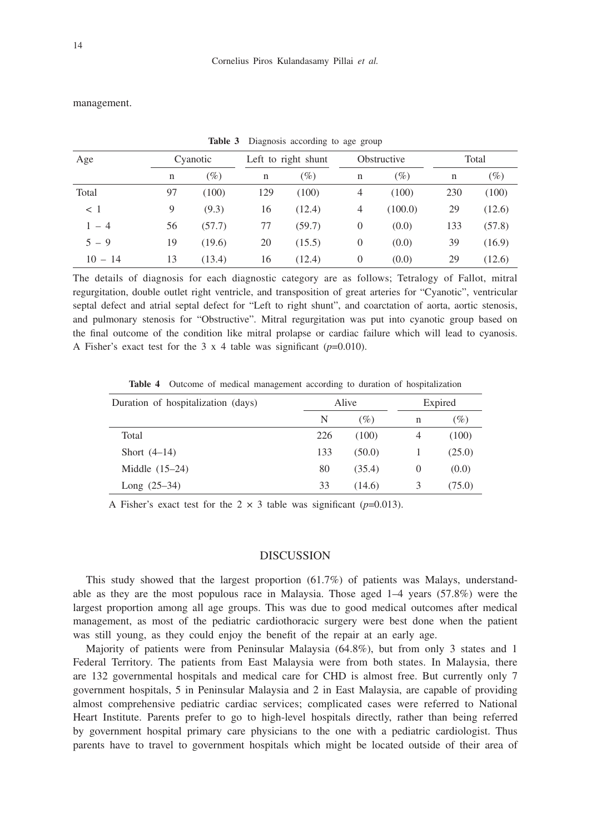management.

| Age         |    | Cyanotic | Left to right shunt |        | Obstructive      |         | Total |        |
|-------------|----|----------|---------------------|--------|------------------|---------|-------|--------|
|             | n  | $(\%)$   | n                   | $(\%)$ | n                | $(\%)$  | n     | $(\%)$ |
| Total       | 97 | (100)    | 129                 | (100)  | 4                | (100)   | 230   | (100)  |
| $\langle$ 1 | 9  | (9.3)    | 16                  | (12.4) | $\overline{4}$   | (100.0) | 29    | (12.6) |
| $1 - 4$     | 56 | (57.7)   | 77                  | (59.7) | $\boldsymbol{0}$ | (0.0)   | 133   | (57.8) |
| $5 - 9$     | 19 | (19.6)   | 20                  | (15.5) | $\overline{0}$   | (0.0)   | 39    | (16.9) |
| $10 - 14$   | 13 | (13.4)   | 16                  | (12.4) | $\boldsymbol{0}$ | (0.0)   | 29    | (12.6) |

Table 3 Diagnosis according to age group

The details of diagnosis for each diagnostic category are as follows; Tetralogy of Fallot, mitral regurgitation, double outlet right ventricle, and transposition of great arteries for "Cyanotic", ventricular septal defect and atrial septal defect for "Left to right shunt", and coarctation of aorta, aortic stenosis, and pulmonary stenosis for "Obstructive". Mitral regurgitation was put into cyanotic group based on the final outcome of the condition like mitral prolapse or cardiac failure which will lead to cyanosis. A Fisher's exact test for the 3 x 4 table was significant  $(p=0.010)$ .

**Table 4** Outcome of medical management according to duration of hospitalization

| Duration of hospitalization (days) | Alive |        | Expired |        |  |
|------------------------------------|-------|--------|---------|--------|--|
|                                    | N     | (%)    | n       | (%)    |  |
| Total                              | 226   | (100)  | 4       | (100)  |  |
| Short $(4-14)$                     | 133   | (50.0) |         | (25.0) |  |
| Middle $(15-24)$                   | 80    | (35.4) | 0       | (0.0)  |  |
| Long $(25-34)$                     | 33    | (14.6) |         | (75.0) |  |

A Fisher's exact test for the  $2 \times 3$  table was significant ( $p=0.013$ ).

#### DISCUSSION

This study showed that the largest proportion (61.7%) of patients was Malays, understandable as they are the most populous race in Malaysia. Those aged 1–4 years (57.8%) were the largest proportion among all age groups. This was due to good medical outcomes after medical management, as most of the pediatric cardiothoracic surgery were best done when the patient was still young, as they could enjoy the benefit of the repair at an early age.

Majority of patients were from Peninsular Malaysia (64.8%), but from only 3 states and 1 Federal Territory. The patients from East Malaysia were from both states. In Malaysia, there are 132 governmental hospitals and medical care for CHD is almost free. But currently only 7 government hospitals, 5 in Peninsular Malaysia and 2 in East Malaysia, are capable of providing almost comprehensive pediatric cardiac services; complicated cases were referred to National Heart Institute. Parents prefer to go to high-level hospitals directly, rather than being referred by government hospital primary care physicians to the one with a pediatric cardiologist. Thus parents have to travel to government hospitals which might be located outside of their area of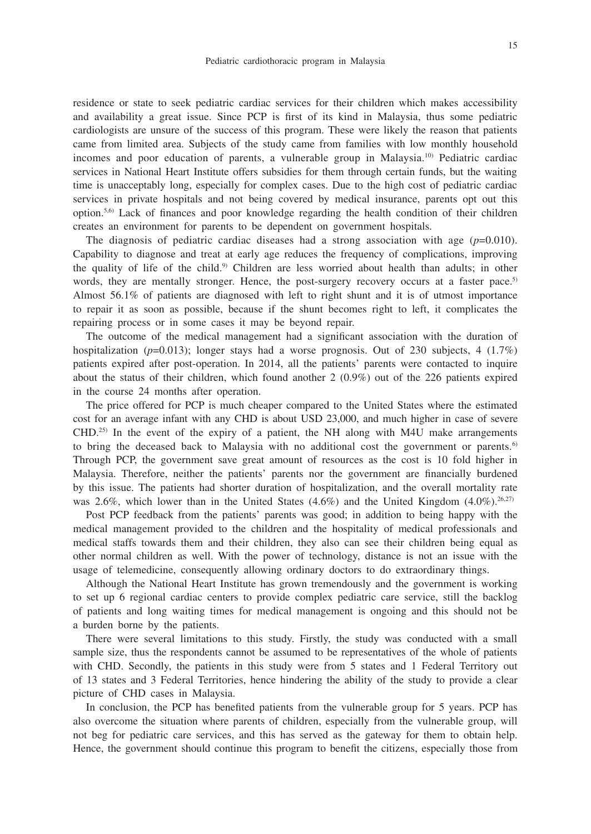residence or state to seek pediatric cardiac services for their children which makes accessibility and availability a great issue. Since PCP is first of its kind in Malaysia, thus some pediatric cardiologists are unsure of the success of this program. These were likely the reason that patients came from limited area. Subjects of the study came from families with low monthly household incomes and poor education of parents, a vulnerable group in Malaysia.10) Pediatric cardiac services in National Heart Institute offers subsidies for them through certain funds, but the waiting time is unacceptably long, especially for complex cases. Due to the high cost of pediatric cardiac services in private hospitals and not being covered by medical insurance, parents opt out this option.5,6) Lack of finances and poor knowledge regarding the health condition of their children creates an environment for parents to be dependent on government hospitals.

The diagnosis of pediatric cardiac diseases had a strong association with age  $(p=0.010)$ . Capability to diagnose and treat at early age reduces the frequency of complications, improving the quality of life of the child.9) Children are less worried about health than adults; in other words, they are mentally stronger. Hence, the post-surgery recovery occurs at a faster pace.<sup>5)</sup> Almost 56.1% of patients are diagnosed with left to right shunt and it is of utmost importance to repair it as soon as possible, because if the shunt becomes right to left, it complicates the repairing process or in some cases it may be beyond repair.

The outcome of the medical management had a significant association with the duration of hospitalization ( $p=0.013$ ); longer stays had a worse prognosis. Out of 230 subjects, 4 (1.7%) patients expired after post-operation. In 2014, all the patients' parents were contacted to inquire about the status of their children, which found another 2 (0.9%) out of the 226 patients expired in the course 24 months after operation.

The price offered for PCP is much cheaper compared to the United States where the estimated cost for an average infant with any CHD is about USD 23,000, and much higher in case of severe  $CHD<sup>25)</sup>$  In the event of the expiry of a patient, the NH along with M4U make arrangements to bring the deceased back to Malaysia with no additional cost the government or parents.<sup>6)</sup> Through PCP, the government save great amount of resources as the cost is 10 fold higher in Malaysia. Therefore, neither the patients' parents nor the government are financially burdened by this issue. The patients had shorter duration of hospitalization, and the overall mortality rate was 2.6%, which lower than in the United States (4.6%) and the United Kingdom (4.0%).<sup>26,27)</sup>

Post PCP feedback from the patients' parents was good; in addition to being happy with the medical management provided to the children and the hospitality of medical professionals and medical staffs towards them and their children, they also can see their children being equal as other normal children as well. With the power of technology, distance is not an issue with the usage of telemedicine, consequently allowing ordinary doctors to do extraordinary things.

Although the National Heart Institute has grown tremendously and the government is working to set up 6 regional cardiac centers to provide complex pediatric care service, still the backlog of patients and long waiting times for medical management is ongoing and this should not be a burden borne by the patients.

There were several limitations to this study. Firstly, the study was conducted with a small sample size, thus the respondents cannot be assumed to be representatives of the whole of patients with CHD. Secondly, the patients in this study were from 5 states and 1 Federal Territory out of 13 states and 3 Federal Territories, hence hindering the ability of the study to provide a clear picture of CHD cases in Malaysia.

In conclusion, the PCP has benefited patients from the vulnerable group for 5 years. PCP has also overcome the situation where parents of children, especially from the vulnerable group, will not beg for pediatric care services, and this has served as the gateway for them to obtain help. Hence, the government should continue this program to benefit the citizens, especially those from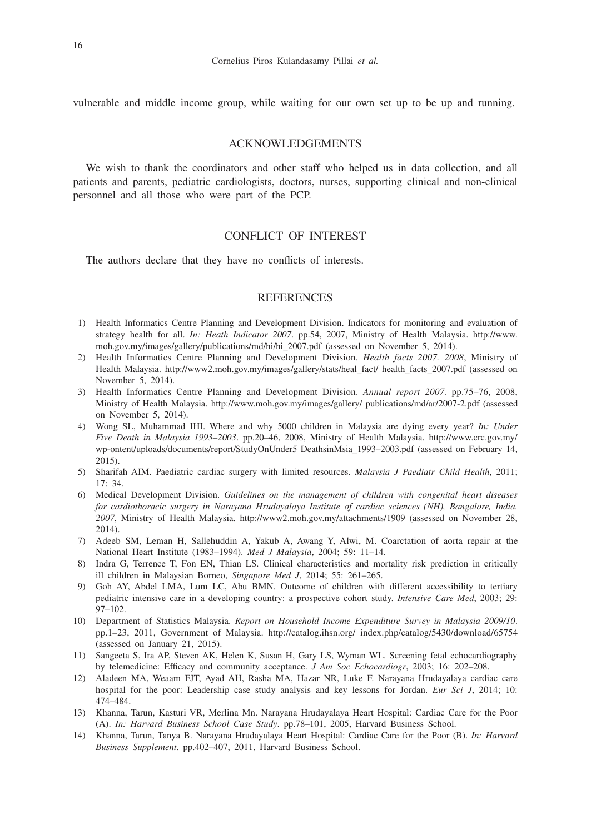vulnerable and middle income group, while waiting for our own set up to be up and running.

## ACKNOWLEDGEMENTS

We wish to thank the coordinators and other staff who helped us in data collection, and all patients and parents, pediatric cardiologists, doctors, nurses, supporting clinical and non-clinical personnel and all those who were part of the PCP.

# CONFLICT OF INTEREST

The authors declare that they have no conflicts of interests.

#### **REFERENCES**

- 1) Health Informatics Centre Planning and Development Division. Indicators for monitoring and evaluation of strategy health for all. *In: Heath Indicator 2007*. pp.54, 2007, Ministry of Health Malaysia. http://www. moh.gov.my/images/gallery/publications/md/hi/hi\_2007.pdf (assessed on November 5, 2014).
- 2) Health Informatics Centre Planning and Development Division. *Health facts 2007. 2008*, Ministry of Health Malaysia. http://www2.moh.gov.my/images/gallery/stats/heal\_fact/ health\_facts\_2007.pdf (assessed on November 5, 2014).
- 3) Health Informatics Centre Planning and Development Division. *Annual report 2007.* pp.75–76, 2008, Ministry of Health Malaysia. http://www.moh.gov.my/images/gallery/ publications/md/ar/2007-2.pdf (assessed on November 5, 2014).
- 4) Wong SL, Muhammad IHI. Where and why 5000 children in Malaysia are dying every year? *In: Under Five Death in Malaysia 1993–2003*. pp.20–46, 2008, Ministry of Health Malaysia. http://www.crc.gov.my/ wp-ontent/uploads/documents/report/StudyOnUnder5 DeathsinMsia\_1993–2003.pdf (assessed on February 14, 2015).
- 5) Sharifah AIM. Paediatric cardiac surgery with limited resources. *Malaysia J Paediatr Child Health*, 2011; 17: 34.
- 6) Medical Development Division. *Guidelines on the management of children with congenital heart diseases for cardiothoracic surgery in Narayana Hrudayalaya Institute of cardiac sciences (NH), Bangalore, India. 2007*, Ministry of Health Malaysia. http://www2.moh.gov.my/attachments/1909 (assessed on November 28, 2014).
- 7) Adeeb SM, Leman H, Sallehuddin A, Yakub A, Awang Y, Alwi, M. Coarctation of aorta repair at the National Heart Institute (1983–1994). *Med J Malaysia*, 2004; 59: 11–14.
- 8) Indra G, Terrence T, Fon EN, Thian LS. Clinical characteristics and mortality risk prediction in critically ill children in Malaysian Borneo, *Singapore Med J*, 2014; 55: 261–265.
- 9) Goh AY, Abdel LMA, Lum LC, Abu BMN. Outcome of children with different accessibility to tertiary pediatric intensive care in a developing country: a prospective cohort study. *Intensive Care Med*, 2003; 29: 97–102.
- 10) Department of Statistics Malaysia. *Report on Household Income Expenditure Survey in Malaysia 2009/10*. pp.1–23, 2011, Government of Malaysia. http://catalog.ihsn.org/ index.php/catalog/5430/download/65754 (assessed on January 21, 2015).
- 11) Sangeeta S, Ira AP, Steven AK, Helen K, Susan H, Gary LS, Wyman WL. Screening fetal echocardiography by telemedicine: Efficacy and community acceptance. *J Am Soc Echocardiogr*, 2003; 16: 202–208.
- 12) Aladeen MA, Weaam FJT, Ayad AH, Rasha MA, Hazar NR, Luke F. Narayana Hrudayalaya cardiac care hospital for the poor: Leadership case study analysis and key lessons for Jordan. *Eur Sci J*, 2014; 10: 474–484.
- 13) Khanna, Tarun, Kasturi VR, Merlina Mn. Narayana Hrudayalaya Heart Hospital: Cardiac Care for the Poor (A). *In: Harvard Business School Case Study*. pp.78–101, 2005, Harvard Business School.
- 14) Khanna, Tarun, Tanya B. Narayana Hrudayalaya Heart Hospital: Cardiac Care for the Poor (B). *In: Harvard Business Supplement*. pp.402–407, 2011, Harvard Business School.